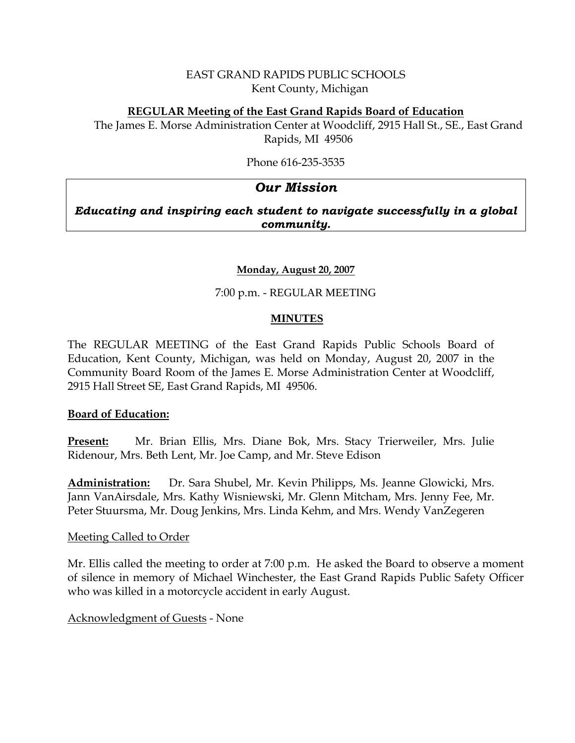# EAST GRAND RAPIDS PUBLIC SCHOOLS Kent County, Michigan

## **REGULAR Meeting of the East Grand Rapids Board of Education**

The James E. Morse Administration Center at Woodcliff, 2915 Hall St., SE., East Grand Rapids, MI 49506

Phone 616-235-3535

# *Our Mission*

# *Educating and inspiring each student to navigate successfully in a global community.*

# **Monday, August 20, 2007**

# 7:00 p.m. - REGULAR MEETING

#### **MINUTES**

The REGULAR MEETING of the East Grand Rapids Public Schools Board of Education, Kent County, Michigan, was held on Monday, August 20, 2007 in the Community Board Room of the James E. Morse Administration Center at Woodcliff, 2915 Hall Street SE, East Grand Rapids, MI 49506.

#### **Board of Education:**

**Present:** Mr. Brian Ellis, Mrs. Diane Bok, Mrs. Stacy Trierweiler, Mrs. Julie Ridenour, Mrs. Beth Lent, Mr. Joe Camp, and Mr. Steve Edison

**Administration:** Dr. Sara Shubel, Mr. Kevin Philipps, Ms. Jeanne Glowicki, Mrs. Jann VanAirsdale, Mrs. Kathy Wisniewski, Mr. Glenn Mitcham, Mrs. Jenny Fee, Mr. Peter Stuursma, Mr. Doug Jenkins, Mrs. Linda Kehm, and Mrs. Wendy VanZegeren

#### Meeting Called to Order

Mr. Ellis called the meeting to order at 7:00 p.m. He asked the Board to observe a moment of silence in memory of Michael Winchester, the East Grand Rapids Public Safety Officer who was killed in a motorcycle accident in early August.

# Acknowledgment of Guests - None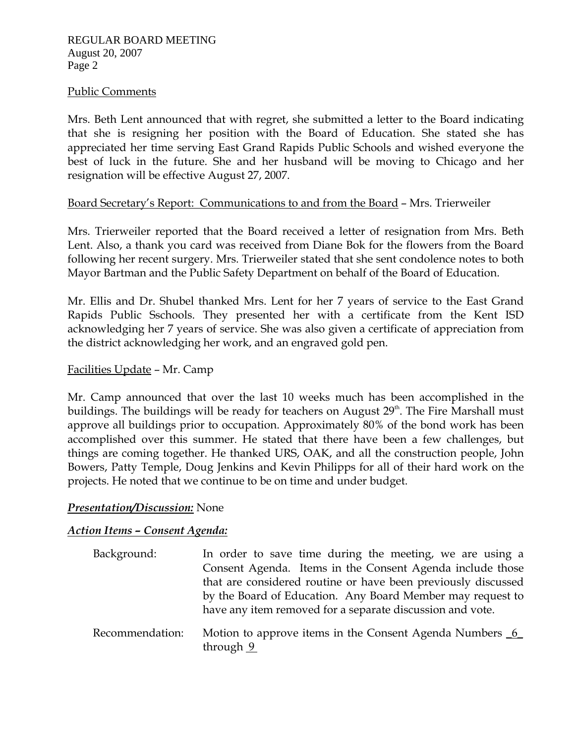#### Public Comments

Mrs. Beth Lent announced that with regret, she submitted a letter to the Board indicating that she is resigning her position with the Board of Education. She stated she has appreciated her time serving East Grand Rapids Public Schools and wished everyone the best of luck in the future. She and her husband will be moving to Chicago and her resignation will be effective August 27, 2007.

# Board Secretary's Report: Communications to and from the Board – Mrs. Trierweiler

Mrs. Trierweiler reported that the Board received a letter of resignation from Mrs. Beth Lent. Also, a thank you card was received from Diane Bok for the flowers from the Board following her recent surgery. Mrs. Trierweiler stated that she sent condolence notes to both Mayor Bartman and the Public Safety Department on behalf of the Board of Education.

Mr. Ellis and Dr. Shubel thanked Mrs. Lent for her 7 years of service to the East Grand Rapids Public Sschools. They presented her with a certificate from the Kent ISD acknowledging her 7 years of service. She was also given a certificate of appreciation from the district acknowledging her work, and an engraved gold pen.

#### Facilities Update – Mr. Camp

Mr. Camp announced that over the last 10 weeks much has been accomplished in the buildings. The buildings will be ready for teachers on August  $29<sup>th</sup>$ . The Fire Marshall must approve all buildings prior to occupation. Approximately 80% of the bond work has been accomplished over this summer. He stated that there have been a few challenges, but things are coming together. He thanked URS, OAK, and all the construction people, John Bowers, Patty Temple, Doug Jenkins and Kevin Philipps for all of their hard work on the projects. He noted that we continue to be on time and under budget.

# *Presentation/Discussion:* None

# *Action Items – Consent Agenda:*

| Background:     | In order to save time during the meeting, we are using a               |
|-----------------|------------------------------------------------------------------------|
|                 | Consent Agenda. Items in the Consent Agenda include those              |
|                 | that are considered routine or have been previously discussed          |
|                 | by the Board of Education. Any Board Member may request to             |
|                 | have any item removed for a separate discussion and vote.              |
| Recommendation: | Motion to approve items in the Consent Agenda Numbers 6<br>through $9$ |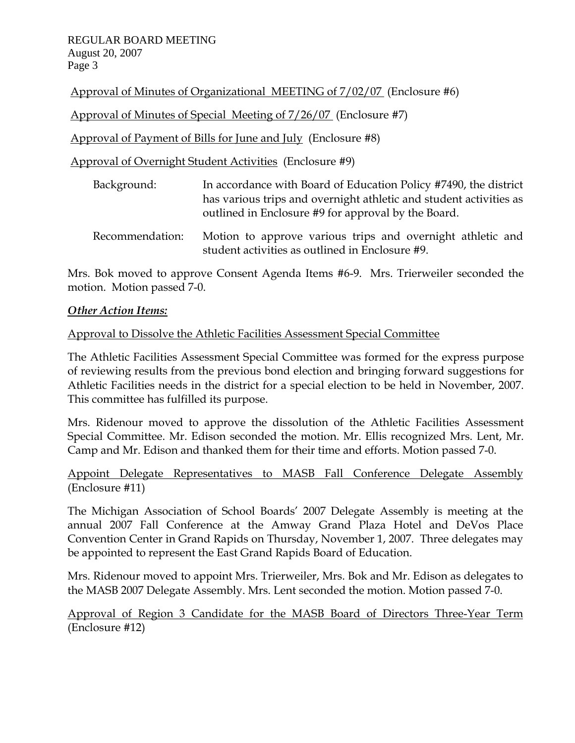Approval of Minutes of Organizational MEETING of 7/02/07 (Enclosure #6)

Approval of Minutes of Special Meeting of 7/26/07 (Enclosure #7)

Approval of Payment of Bills for June and July (Enclosure #8)

Approval of Overnight Student Activities (Enclosure #9)

| Background: | In accordance with Board of Education Policy #7490, the district   |
|-------------|--------------------------------------------------------------------|
|             | has various trips and overnight athletic and student activities as |
|             | outlined in Enclosure #9 for approval by the Board.                |
|             |                                                                    |

Recommendation: Motion to approve various trips and overnight athletic and student activities as outlined in Enclosure #9.

Mrs. Bok moved to approve Consent Agenda Items #6-9. Mrs. Trierweiler seconded the motion. Motion passed 7-0.

# *Other Action Items:*

# Approval to Dissolve the Athletic Facilities Assessment Special Committee

The Athletic Facilities Assessment Special Committee was formed for the express purpose of reviewing results from the previous bond election and bringing forward suggestions for Athletic Facilities needs in the district for a special election to be held in November, 2007. This committee has fulfilled its purpose.

Mrs. Ridenour moved to approve the dissolution of the Athletic Facilities Assessment Special Committee. Mr. Edison seconded the motion. Mr. Ellis recognized Mrs. Lent, Mr. Camp and Mr. Edison and thanked them for their time and efforts. Motion passed 7-0.

Appoint Delegate Representatives to MASB Fall Conference Delegate Assembly (Enclosure #11)

The Michigan Association of School Boards' 2007 Delegate Assembly is meeting at the annual 2007 Fall Conference at the Amway Grand Plaza Hotel and DeVos Place Convention Center in Grand Rapids on Thursday, November 1, 2007. Three delegates may be appointed to represent the East Grand Rapids Board of Education.

Mrs. Ridenour moved to appoint Mrs. Trierweiler, Mrs. Bok and Mr. Edison as delegates to the MASB 2007 Delegate Assembly. Mrs. Lent seconded the motion. Motion passed 7-0.

Approval of Region 3 Candidate for the MASB Board of Directors Three-Year Term (Enclosure #12)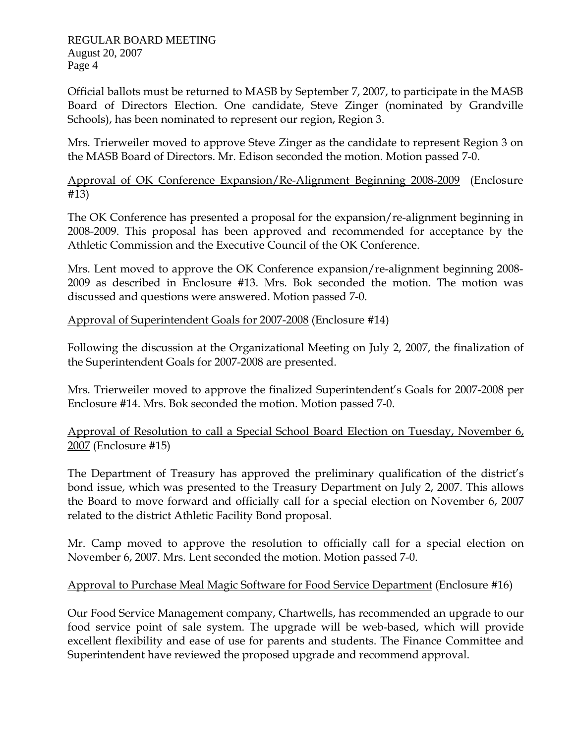Official ballots must be returned to MASB by September 7, 2007, to participate in the MASB Board of Directors Election. One candidate, Steve Zinger (nominated by Grandville Schools), has been nominated to represent our region, Region 3.

Mrs. Trierweiler moved to approve Steve Zinger as the candidate to represent Region 3 on the MASB Board of Directors. Mr. Edison seconded the motion. Motion passed 7-0.

Approval of OK Conference Expansion/Re-Alignment Beginning 2008-2009 (Enclosure #13)

The OK Conference has presented a proposal for the expansion/re-alignment beginning in 2008-2009. This proposal has been approved and recommended for acceptance by the Athletic Commission and the Executive Council of the OK Conference.

Mrs. Lent moved to approve the OK Conference expansion/re-alignment beginning 2008- 2009 as described in Enclosure #13. Mrs. Bok seconded the motion. The motion was discussed and questions were answered. Motion passed 7-0.

Approval of Superintendent Goals for 2007-2008 (Enclosure #14)

Following the discussion at the Organizational Meeting on July 2, 2007, the finalization of the Superintendent Goals for 2007-2008 are presented.

Mrs. Trierweiler moved to approve the finalized Superintendent's Goals for 2007-2008 per Enclosure #14. Mrs. Bok seconded the motion. Motion passed 7-0.

Approval of Resolution to call a Special School Board Election on Tuesday, November 6, 2007 (Enclosure #15)

The Department of Treasury has approved the preliminary qualification of the district's bond issue, which was presented to the Treasury Department on July 2, 2007. This allows the Board to move forward and officially call for a special election on November 6, 2007 related to the district Athletic Facility Bond proposal.

Mr. Camp moved to approve the resolution to officially call for a special election on November 6, 2007. Mrs. Lent seconded the motion. Motion passed 7-0.

# Approval to Purchase Meal Magic Software for Food Service Department (Enclosure #16)

Our Food Service Management company, Chartwells, has recommended an upgrade to our food service point of sale system. The upgrade will be web-based, which will provide excellent flexibility and ease of use for parents and students. The Finance Committee and Superintendent have reviewed the proposed upgrade and recommend approval.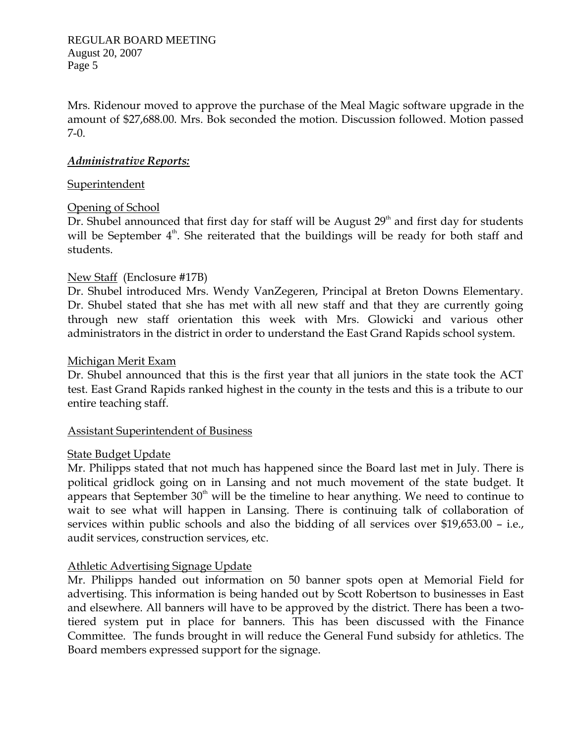Mrs. Ridenour moved to approve the purchase of the Meal Magic software upgrade in the amount of \$27,688.00. Mrs. Bok seconded the motion. Discussion followed. Motion passed 7-0.

## *Administrative Reports:*

#### **Superintendent**

# Opening of School

Dr. Shubel announced that first day for staff will be August  $29<sup>th</sup>$  and first day for students will be September 4<sup>th</sup>. She reiterated that the buildings will be ready for both staff and students.

# New Staff (Enclosure #17B)

Dr. Shubel introduced Mrs. Wendy VanZegeren, Principal at Breton Downs Elementary. Dr. Shubel stated that she has met with all new staff and that they are currently going through new staff orientation this week with Mrs. Glowicki and various other administrators in the district in order to understand the East Grand Rapids school system.

#### Michigan Merit Exam

Dr. Shubel announced that this is the first year that all juniors in the state took the ACT test. East Grand Rapids ranked highest in the county in the tests and this is a tribute to our entire teaching staff.

#### Assistant Superintendent of Business

# State Budget Update

Mr. Philipps stated that not much has happened since the Board last met in July. There is political gridlock going on in Lansing and not much movement of the state budget. It appears that September  $30<sup>th</sup>$  will be the timeline to hear anything. We need to continue to wait to see what will happen in Lansing. There is continuing talk of collaboration of services within public schools and also the bidding of all services over \$19,653.00 – i.e., audit services, construction services, etc.

# Athletic Advertising Signage Update

Mr. Philipps handed out information on 50 banner spots open at Memorial Field for advertising. This information is being handed out by Scott Robertson to businesses in East and elsewhere. All banners will have to be approved by the district. There has been a twotiered system put in place for banners. This has been discussed with the Finance Committee. The funds brought in will reduce the General Fund subsidy for athletics. The Board members expressed support for the signage.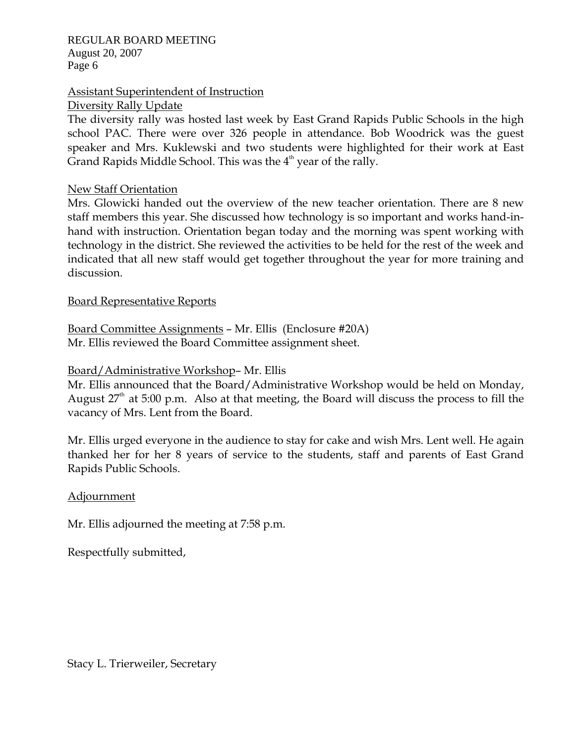## Assistant Superintendent of Instruction

Diversity Rally Update

The diversity rally was hosted last week by East Grand Rapids Public Schools in the high school PAC. There were over 326 people in attendance. Bob Woodrick was the guest speaker and Mrs. Kuklewski and two students were highlighted for their work at East Grand Rapids Middle School. This was the  $4<sup>th</sup>$  year of the rally.

#### New Staff Orientation

Mrs. Glowicki handed out the overview of the new teacher orientation. There are 8 new staff members this year. She discussed how technology is so important and works hand-inhand with instruction. Orientation began today and the morning was spent working with technology in the district. She reviewed the activities to be held for the rest of the week and indicated that all new staff would get together throughout the year for more training and discussion.

#### Board Representative Reports

Board Committee Assignments – Mr. Ellis (Enclosure #20A) Mr. Ellis reviewed the Board Committee assignment sheet.

## Board/Administrative Workshop– Mr. Ellis

Mr. Ellis announced that the Board/Administrative Workshop would be held on Monday, August  $27<sup>th</sup>$  at 5:00 p.m. Also at that meeting, the Board will discuss the process to fill the vacancy of Mrs. Lent from the Board.

Mr. Ellis urged everyone in the audience to stay for cake and wish Mrs. Lent well. He again thanked her for her 8 years of service to the students, staff and parents of East Grand Rapids Public Schools.

#### Adjournment

Mr. Ellis adjourned the meeting at 7:58 p.m.

Respectfully submitted,